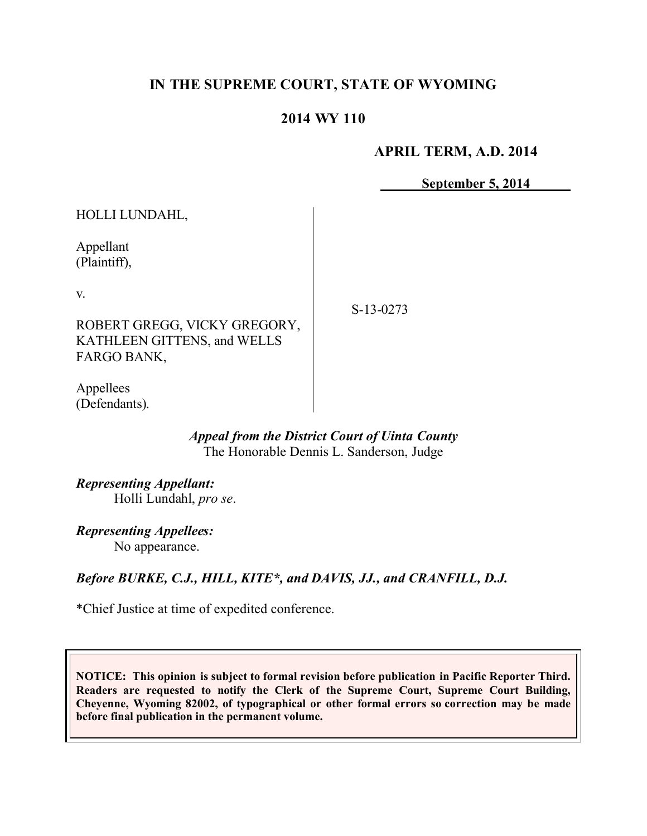# **IN THE SUPREME COURT, STATE OF WYOMING**

# **2014 WY 110**

## **APRIL TERM, A.D. 2014**

**September 5, 2014**

| HOLLI LUNDAHL,                                                                          |           |
|-----------------------------------------------------------------------------------------|-----------|
| Appellant<br>(Plaintiff),                                                               |           |
| V.<br>ROBERT GREGG, VICKY GREGORY,<br><b>KATHLEEN GITTENS, and WELLS</b><br>FARGO BANK, | S-13-0273 |
| Appellees                                                                               |           |

### *Appeal from the District Court of Uinta County* The Honorable Dennis L. Sanderson, Judge

*Representing Appellant:* Holli Lundahl, *pro se*.

*Representing Appellees:* No appearance.

(Defendants).

## *Before BURKE, C.J., HILL, KITE\*, and DAVIS, JJ., and CRANFILL, D.J.*

\*Chief Justice at time of expedited conference.

**NOTICE: This opinion is subject to formal revision before publication in Pacific Reporter Third. Readers are requested to notify the Clerk of the Supreme Court, Supreme Court Building, Cheyenne, Wyoming 82002, of typographical or other formal errors so correction may be made before final publication in the permanent volume.**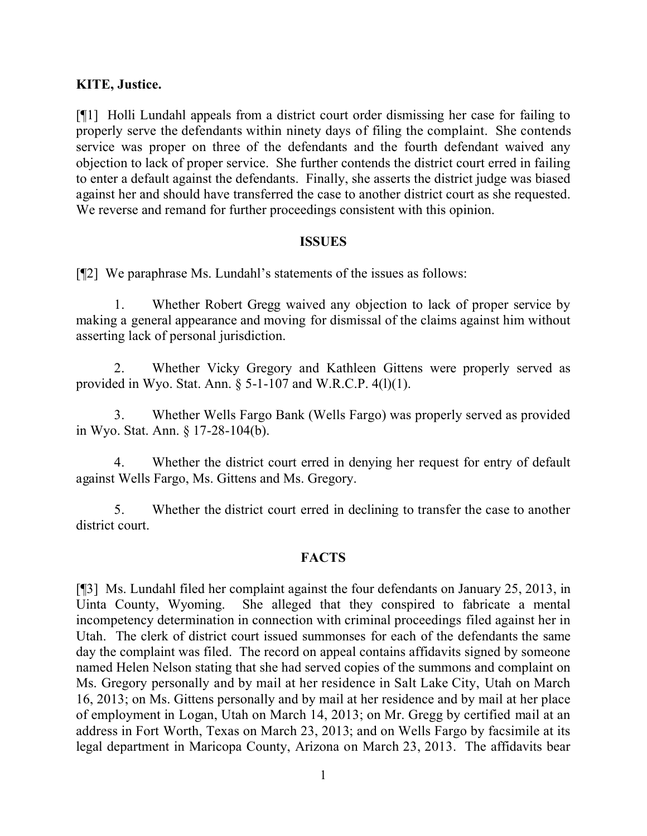## **KITE, Justice.**

[¶1] Holli Lundahl appeals from a district court order dismissing her case for failing to properly serve the defendants within ninety days of filing the complaint. She contends service was proper on three of the defendants and the fourth defendant waived any objection to lack of proper service. She further contends the district court erred in failing to enter a default against the defendants. Finally, she asserts the district judge was biased against her and should have transferred the case to another district court as she requested. We reverse and remand for further proceedings consistent with this opinion.

### **ISSUES**

[¶2] We paraphrase Ms. Lundahl's statements of the issues as follows:

1. Whether Robert Gregg waived any objection to lack of proper service by making a general appearance and moving for dismissal of the claims against him without asserting lack of personal jurisdiction.

2. Whether Vicky Gregory and Kathleen Gittens were properly served as provided in Wyo. Stat. Ann.  $\S$  5-1-107 and W.R.C.P. 4(1)(1).

3. Whether Wells Fargo Bank (Wells Fargo) was properly served as provided in Wyo. Stat. Ann. § 17-28-104(b).

4. Whether the district court erred in denying her request for entry of default against Wells Fargo, Ms. Gittens and Ms. Gregory.

5. Whether the district court erred in declining to transfer the case to another district court.

### **FACTS**

[¶3] Ms. Lundahl filed her complaint against the four defendants on January 25, 2013, in Uinta County, Wyoming. She alleged that they conspired to fabricate a mental incompetency determination in connection with criminal proceedings filed against her in Utah. The clerk of district court issued summonses for each of the defendants the same day the complaint was filed. The record on appeal contains affidavits signed by someone named Helen Nelson stating that she had served copies of the summons and complaint on Ms. Gregory personally and by mail at her residence in Salt Lake City, Utah on March 16, 2013; on Ms. Gittens personally and by mail at her residence and by mail at her place of employment in Logan, Utah on March 14, 2013; on Mr. Gregg by certified mail at an address in Fort Worth, Texas on March 23, 2013; and on Wells Fargo by facsimile at its legal department in Maricopa County, Arizona on March 23, 2013. The affidavits bear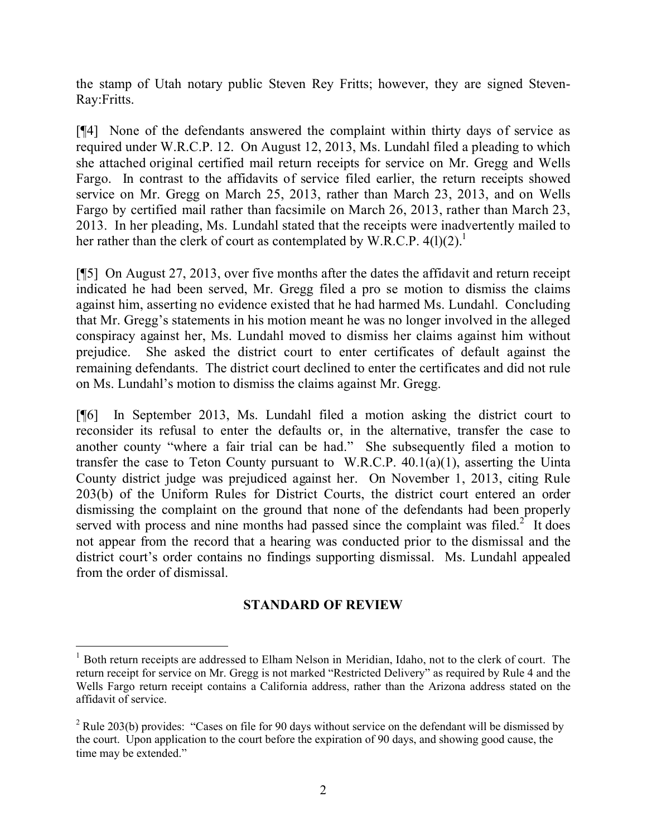the stamp of Utah notary public Steven Rey Fritts; however, they are signed Steven-Ray:Fritts.

[¶4] None of the defendants answered the complaint within thirty days of service as required under W.R.C.P. 12. On August 12, 2013, Ms. Lundahl filed a pleading to which she attached original certified mail return receipts for service on Mr. Gregg and Wells Fargo. In contrast to the affidavits of service filed earlier, the return receipts showed service on Mr. Gregg on March 25, 2013, rather than March 23, 2013, and on Wells Fargo by certified mail rather than facsimile on March 26, 2013, rather than March 23, 2013. In her pleading, Ms. Lundahl stated that the receipts were inadvertently mailed to her rather than the clerk of court as contemplated by W.R.C.P.  $4(1)(2)$ .<sup>1</sup>

[¶5] On August 27, 2013, over five months after the dates the affidavit and return receipt indicated he had been served, Mr. Gregg filed a pro se motion to dismiss the claims against him, asserting no evidence existed that he had harmed Ms. Lundahl. Concluding that Mr. Gregg's statements in his motion meant he was no longer involved in the alleged conspiracy against her, Ms. Lundahl moved to dismiss her claims against him without prejudice. She asked the district court to enter certificates of default against the remaining defendants. The district court declined to enter the certificates and did not rule on Ms. Lundahl's motion to dismiss the claims against Mr. Gregg.

[¶6] In September 2013, Ms. Lundahl filed a motion asking the district court to reconsider its refusal to enter the defaults or, in the alternative, transfer the case to another county "where a fair trial can be had." She subsequently filed a motion to transfer the case to Teton County pursuant to W.R.C.P.  $40.1(a)(1)$ , asserting the Uinta County district judge was prejudiced against her. On November 1, 2013, citing Rule 203(b) of the Uniform Rules for District Courts, the district court entered an order dismissing the complaint on the ground that none of the defendants had been properly served with process and nine months had passed since the complaint was filed.<sup>2</sup> It does not appear from the record that a hearing was conducted prior to the dismissal and the district court's order contains no findings supporting dismissal. Ms. Lundahl appealed from the order of dismissal.

## **STANDARD OF REVIEW**

<sup>&</sup>lt;sup>1</sup> Both return receipts are addressed to Elham Nelson in Meridian, Idaho, not to the clerk of court. The return receipt for service on Mr. Gregg is not marked "Restricted Delivery" as required by Rule 4 and the Wells Fargo return receipt contains a California address, rather than the Arizona address stated on the affidavit of service.

 $2$  Rule 203(b) provides: "Cases on file for 90 days without service on the defendant will be dismissed by the court. Upon application to the court before the expiration of 90 days, and showing good cause, the time may be extended."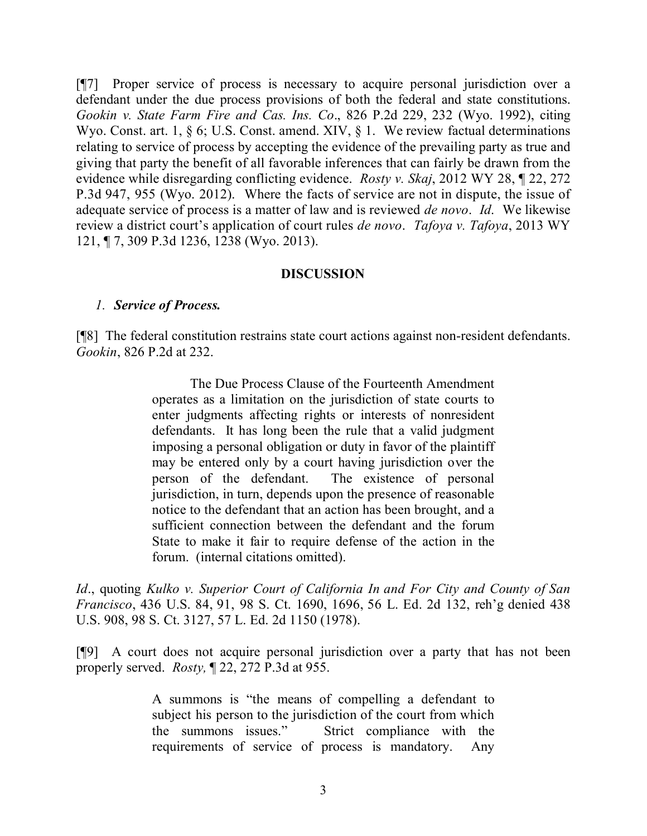[¶7] Proper service of process is necessary to acquire personal jurisdiction over a defendant under the due process provisions of both the federal and state constitutions. *Gookin v. State Farm Fire and Cas. Ins. Co*., 826 P.2d 229, 232 (Wyo. 1992), citing Wyo. Const. art. 1, § 6; U.S. Const. amend. XIV, § 1. We review factual determinations relating to service of process by accepting the evidence of the prevailing party as true and giving that party the benefit of all favorable inferences that can fairly be drawn from the evidence while disregarding conflicting evidence. *Rosty v. Skaj*, 2012 WY 28, ¶ 22, 272 P.3d 947, 955 (Wyo. 2012). Where the facts of service are not in dispute, the issue of adequate service of process is a matter of law and is reviewed *de novo*. *Id*. We likewise review a district court's application of court rules *de novo*. *Tafoya v. Tafoya*, 2013 WY 121, ¶ 7, 309 P.3d 1236, 1238 (Wyo. 2013).

### **DISCUSSION**

#### *1. Service of Process.*

[¶8] The federal constitution restrains state court actions against non-resident defendants. *Gookin*, 826 P.2d at 232.

> The Due Process Clause of the Fourteenth Amendment operates as a limitation on the jurisdiction of state courts to enter judgments affecting rights or interests of nonresident defendants. It has long been the rule that a valid judgment imposing a personal obligation or duty in favor of the plaintiff may be entered only by a court having jurisdiction over the person of the defendant. The existence of personal jurisdiction, in turn, depends upon the presence of reasonable notice to the defendant that an action has been brought, and a sufficient connection between the defendant and the forum State to make it fair to require defense of the action in the forum. (internal citations omitted).

*Id*., quoting *Kulko v. Superior Court of California In and For City and County of San Francisco*, 436 U.S. 84, 91, 98 S. Ct. 1690, 1696, 56 L. Ed. 2d 132, reh'g denied 438 U.S. 908, 98 S. Ct. 3127, 57 L. Ed. 2d 1150 (1978).

[¶9] A court does not acquire personal jurisdiction over a party that has not been properly served. *Rosty,* ¶ 22, 272 P.3d at 955.

> A summons is "the means of compelling a defendant to subject his person to the jurisdiction of the court from which the summons issues." Strict compliance with the requirements of service of process is mandatory. Any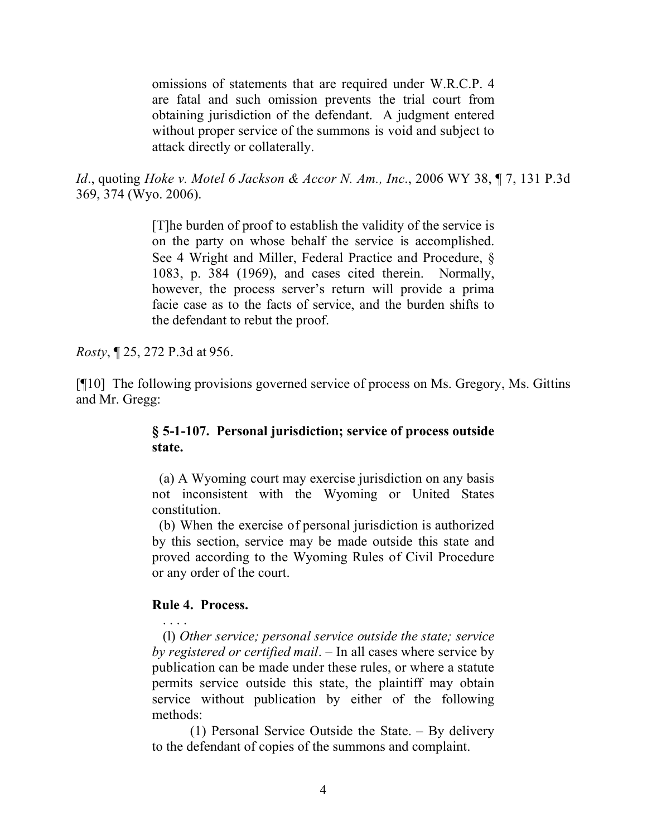omissions of statements that are required under W.R.C.P. 4 are fatal and such omission prevents the trial court from obtaining jurisdiction of the defendant. A judgment entered without proper service of the summons is void and subject to attack directly or collaterally.

*Id*., quoting *Hoke v. Motel 6 Jackson & Accor N. Am., Inc*., 2006 WY 38, ¶ 7, 131 P.3d 369, 374 (Wyo. 2006).

> [T]he burden of proof to establish the validity of the service is on the party on whose behalf the service is accomplished. See 4 Wright and Miller, Federal Practice and Procedure, § 1083, p. 384 (1969), and cases cited therein. Normally, however, the process server's return will provide a prima facie case as to the facts of service, and the burden shifts to the defendant to rebut the proof.

*Rosty*, ¶ 25, 272 P.3d at 956.

[¶10] The following provisions governed service of process on Ms. Gregory, Ms. Gittins and Mr. Gregg:

## **§ 5-1-107. Personal jurisdiction; service of process outside state.**

 (a) A Wyoming court may exercise jurisdiction on any basis not inconsistent with the Wyoming or United States constitution.

 (b) When the exercise of personal jurisdiction is authorized by this section, service may be made outside this state and proved according to the Wyoming Rules of Civil Procedure or any order of the court.

### **Rule 4. Process.**

. . . .

 (l) *Other service; personal service outside the state; service by registered or certified mail*. – In all cases where service by publication can be made under these rules, or where a statute permits service outside this state, the plaintiff may obtain service without publication by either of the following methods:

(1) Personal Service Outside the State. – By delivery to the defendant of copies of the summons and complaint.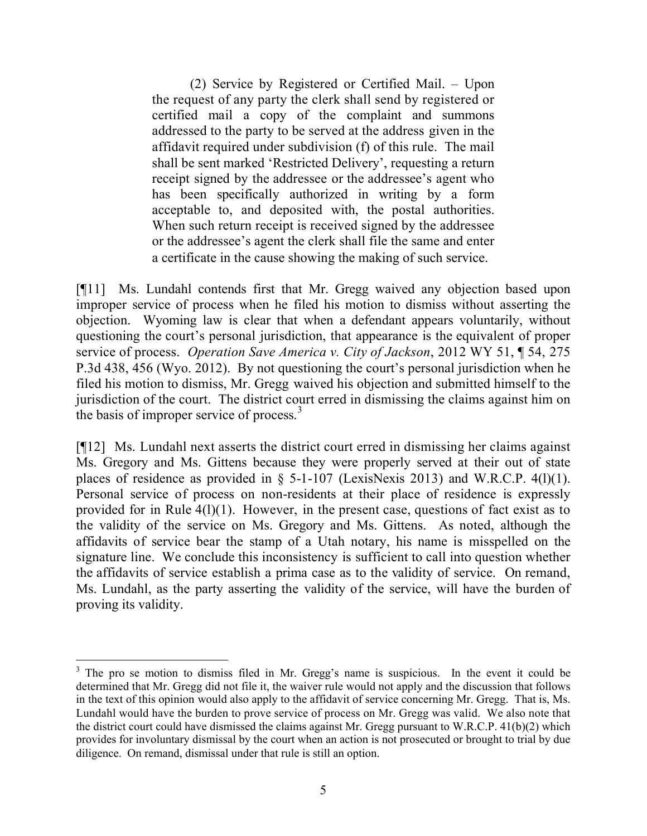(2) Service by Registered or Certified Mail. – Upon the request of any party the clerk shall send by registered or certified mail a copy of the complaint and summons addressed to the party to be served at the address given in the affidavit required under subdivision (f) of this rule. The mail shall be sent marked 'Restricted Delivery', requesting a return receipt signed by the addressee or the addressee's agent who has been specifically authorized in writing by a form acceptable to, and deposited with, the postal authorities. When such return receipt is received signed by the addressee or the addressee's agent the clerk shall file the same and enter a certificate in the cause showing the making of such service.

[¶11] Ms. Lundahl contends first that Mr. Gregg waived any objection based upon improper service of process when he filed his motion to dismiss without asserting the objection. Wyoming law is clear that when a defendant appears voluntarily, without questioning the court's personal jurisdiction, that appearance is the equivalent of proper service of process. *Operation Save America v. City of Jackson*, 2012 WY 51, ¶ 54, 275 P.3d 438, 456 (Wyo. 2012). By not questioning the court's personal jurisdiction when he filed his motion to dismiss, Mr. Gregg waived his objection and submitted himself to the jurisdiction of the court. The district court erred in dismissing the claims against him on the basis of improper service of process. $3$ 

[¶12] Ms. Lundahl next asserts the district court erred in dismissing her claims against Ms. Gregory and Ms. Gittens because they were properly served at their out of state places of residence as provided in  $\S$  5-1-107 (LexisNexis 2013) and W.R.C.P. 4(1)(1). Personal service of process on non-residents at their place of residence is expressly provided for in Rule 4(l)(1). However, in the present case, questions of fact exist as to the validity of the service on Ms. Gregory and Ms. Gittens. As noted, although the affidavits of service bear the stamp of a Utah notary, his name is misspelled on the signature line. We conclude this inconsistency is sufficient to call into question whether the affidavits of service establish a prima case as to the validity of service. On remand, Ms. Lundahl, as the party asserting the validity of the service, will have the burden of proving its validity.

 $\overline{a}$ 

 $3$  The pro se motion to dismiss filed in Mr. Gregg's name is suspicious. In the event it could be determined that Mr. Gregg did not file it, the waiver rule would not apply and the discussion that follows in the text of this opinion would also apply to the affidavit of service concerning Mr. Gregg. That is, Ms. Lundahl would have the burden to prove service of process on Mr. Gregg was valid. We also note that the district court could have dismissed the claims against Mr. Gregg pursuant to W.R.C.P. 41(b)(2) which provides for involuntary dismissal by the court when an action is not prosecuted or brought to trial by due diligence. On remand, dismissal under that rule is still an option.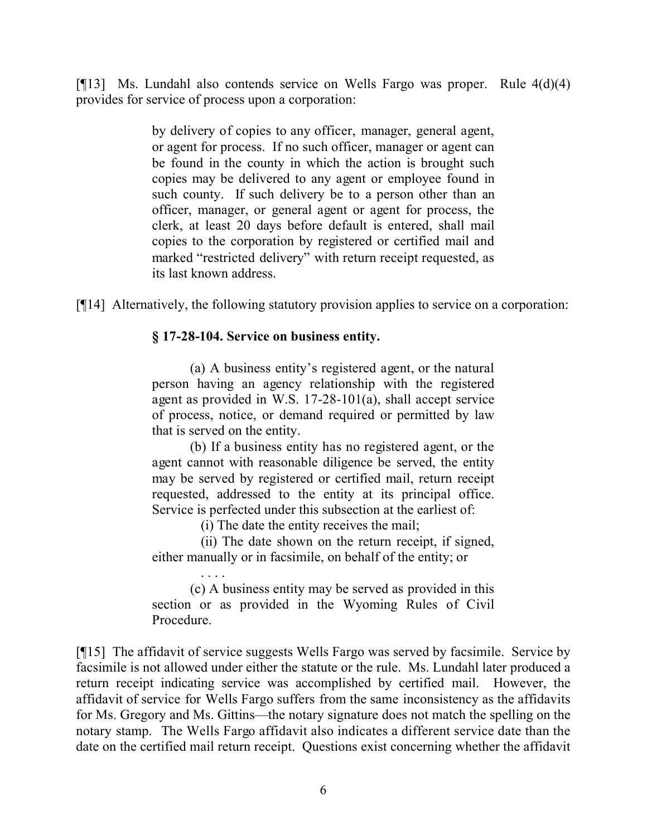[¶13] Ms. Lundahl also contends service on Wells Fargo was proper. Rule 4(d)(4) provides for service of process upon a corporation:

> by delivery of copies to any officer, manager, general agent, or agent for process. If no such officer, manager or agent can be found in the county in which the action is brought such copies may be delivered to any agent or employee found in such county. If such delivery be to a person other than an officer, manager, or general agent or agent for process, the clerk, at least 20 days before default is entered, shall mail copies to the corporation by registered or certified mail and marked "restricted delivery" with return receipt requested, as its last known address.

[¶14] Alternatively, the following statutory provision applies to service on a corporation:

# **§ 17-28-104. Service on business entity.**

(a) A business entity's registered agent, or the natural person having an agency relationship with the registered agent as provided in W.S. 17-28-101(a), shall accept service of process, notice, or demand required or permitted by law that is served on the entity.

(b) If a business entity has no registered agent, or the agent cannot with reasonable diligence be served, the entity may be served by registered or certified mail, return receipt requested, addressed to the entity at its principal office. Service is perfected under this subsection at the earliest of:

(i) The date the entity receives the mail;

 (ii) The date shown on the return receipt, if signed, either manually or in facsimile, on behalf of the entity; or

 . . . . (c) A business entity may be served as provided in this section or as provided in the Wyoming Rules of Civil Procedure.

[¶15] The affidavit of service suggests Wells Fargo was served by facsimile. Service by facsimile is not allowed under either the statute or the rule. Ms. Lundahl later produced a return receipt indicating service was accomplished by certified mail. However, the affidavit of service for Wells Fargo suffers from the same inconsistency as the affidavits for Ms. Gregory and Ms. Gittins—the notary signature does not match the spelling on the notary stamp. The Wells Fargo affidavit also indicates a different service date than the date on the certified mail return receipt. Questions exist concerning whether the affidavit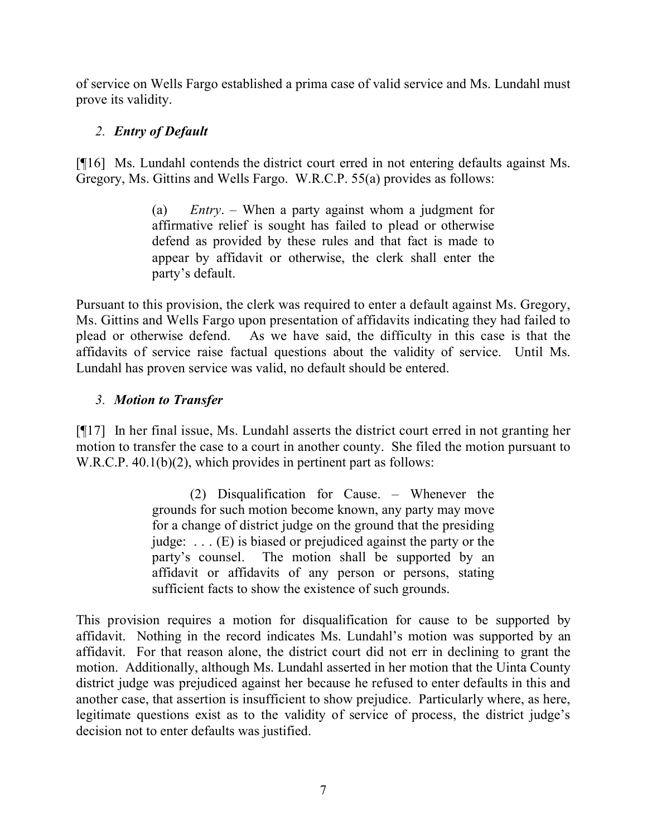of service on Wells Fargo established a prima case of valid service and Ms. Lundahl must prove its validity.

# *2. Entry of Default*

[¶16] Ms. Lundahl contends the district court erred in not entering defaults against Ms. Gregory, Ms. Gittins and Wells Fargo. W.R.C.P. 55(a) provides as follows:

> (a) *Entry*. – When a party against whom a judgment for affirmative relief is sought has failed to plead or otherwise defend as provided by these rules and that fact is made to appear by affidavit or otherwise, the clerk shall enter the party's default.

Pursuant to this provision, the clerk was required to enter a default against Ms. Gregory, Ms. Gittins and Wells Fargo upon presentation of affidavits indicating they had failed to plead or otherwise defend. As we have said, the difficulty in this case is that the affidavits of service raise factual questions about the validity of service. Until Ms. Lundahl has proven service was valid, no default should be entered.

# *3. Motion to Transfer*

[¶17] In her final issue, Ms. Lundahl asserts the district court erred in not granting her motion to transfer the case to a court in another county. She filed the motion pursuant to W.R.C.P. 40.1(b)(2), which provides in pertinent part as follows:

> (2) Disqualification for Cause. – Whenever the grounds for such motion become known, any party may move for a change of district judge on the ground that the presiding judge: . . . (E) is biased or prejudiced against the party or the party's counsel. The motion shall be supported by an affidavit or affidavits of any person or persons, stating sufficient facts to show the existence of such grounds.

This provision requires a motion for disqualification for cause to be supported by affidavit. Nothing in the record indicates Ms. Lundahl's motion was supported by an affidavit. For that reason alone, the district court did not err in declining to grant the motion. Additionally, although Ms. Lundahl asserted in her motion that the Uinta County district judge was prejudiced against her because he refused to enter defaults in this and another case, that assertion is insufficient to show prejudice. Particularly where, as here, legitimate questions exist as to the validity of service of process, the district judge's decision not to enter defaults was justified.